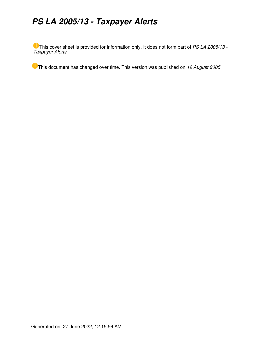# *PS LA 2005/13 - Taxpayer Alerts*

This cover sheet is provided for information only. It does not form part of *PS LA 2005/13 - Taxpayer Alerts*

This document has changed over time. This version was published on *19 August 2005*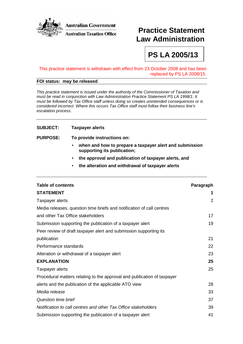

# **Practice Statement Law Administration**

**PS LA 2005/13** 

#### This practice statement is withdrawn with effect from 23 October 2008 and has been replaced by PS LA 2008/15.

### **FOI status: may be released**

This practice statement is issued under the authority of the Commissioner of Taxation and must be read in conjunction with Law Administration Practice Statement PS LA 1998/1. It must be followed by Tax Office staff unless doing so creates unintended consequences or is considered incorrect. Where this occurs Tax Office staff must follow their business line's escalation process.

#### **SUBJECT: Taxpayer alerts**

**PURPOSE: To provide instructions on:** 

- **when and how to prepare a taxpayer alert and submission supporting its publication;**
- **the approval and publication of taxpayer alerts, and**
- **the alteration and withdrawal of taxpayer alerts**

| <b>Table of contents</b>                                                | Paragraph |
|-------------------------------------------------------------------------|-----------|
| <b>STATEMENT</b>                                                        | 1         |
| Taxpayer alerts                                                         | 2         |
| Media releases, question time briefs and notification of call centres   |           |
| and other Tax Office stakeholders                                       | 17        |
| Submission supporting the publication of a taxpayer alert               | 19        |
| Peer review of draft taxpayer alert and submission supporting its       |           |
| publication                                                             | 21        |
| Performance standards                                                   | 22        |
| Alteration or withdrawal of a taxpayer alert                            | 23        |
| <b>EXPLANATION</b>                                                      | 25        |
| Taxpayer alerts                                                         | 25        |
| Procedural matters relating to the approval and publication of taxpayer |           |
| alerts and the publication of the applicable ATO view                   | 28        |
| Media release                                                           | 33        |
| Question time brief                                                     | 37        |
| Notification to call centres and other Tax Office stakeholders          | 39        |
| Submission supporting the publication of a taxpayer alert               | 41        |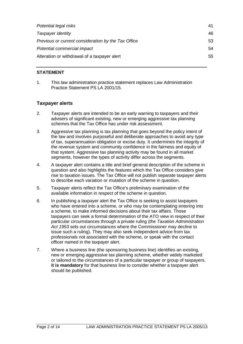| Potential legal risks                               | 41 |
|-----------------------------------------------------|----|
| Taxpayer identity                                   | 46 |
| Previous or current consideration by the Tax Office | 53 |
| Potential commercial impact                         | 54 |
| Alteration or withdrawal of a taxpayer alert        | 55 |

# **STATEMENT**

1. This law administration practice statement replaces Law Administration Practice Statement PS LA 2001/15.

# **Taxpayer alerts**

- 2. Taxpayer alerts are intended to be an early warning to taxpayers and their advisers of significant existing, new or emerging aggressive tax planning schemes that the Tax Office has under risk assessment.
- 3. Aggressive tax planning is tax planning that goes beyond the policy intent of the law and involves purposeful and deliberate approaches to avoid any type of tax, superannuation obligation or excise duty. It undermines the integrity of the revenue system and community confidence in the fairness and equity of that system. Aggressive tax planning activity may be found in all market segments, however the types of activity differ across the segments.
- 4. A taxpayer alert contains a title and brief general description of the scheme in question and also highlights the features which the Tax Office considers give rise to taxation issues. The Tax Office will not publish separate taxpayer alerts to describe each variation or mutation of the scheme in question.
- 5. Taxpayer alerts reflect the Tax Office's preliminary examination of the available information in respect of the scheme in question.
- 6. In publishing a taxpayer alert the Tax Office is seeking to assist taxpayers who have entered into a scheme, or who may be contemplating entering into a scheme, to make informed decisions about their tax affairs. Those taxpayers can seek a formal determination of the ATO view in respect of their particular circumstances through a private ruling (the Taxation Administration Act 1953 sets out circumstances where the Commissioner may decline to issue such a ruling). They may also seek independent advice from tax professionals not associated with the scheme, or speak with the contact officer named in the taxpayer alert.
- 7. Where a business line (the sponsoring business line) identifies an existing, new or emerging aggressive tax planning scheme, whether widely marketed or tailored to the circumstances of a particular taxpayer or group of taxpayers, **it is mandatory** for that business line to consider whether a taxpayer alert should be published.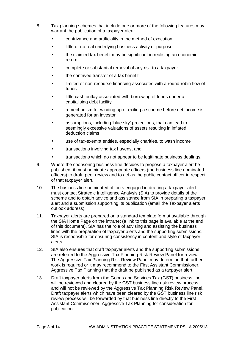- 8. Tax planning schemes that include one or more of the following features may warrant the publication of a taxpayer alert:
	- contrivance and artificiality in the method of execution
	- little or no real underlying business activity or purpose
	- the claimed tax benefit may be significant in realising an economic return
	- complete or substantial removal of any risk to a taxpayer
	- the contrived transfer of a tax benefit
	- limited or non-recourse financing associated with a round-robin flow of funds
	- little cash outlay associated with borrowing of funds under a capitalising debt facility
	- a mechanism for winding up or exiting a scheme before net income is generated for an investor
	- assumptions, including 'blue sky' projections, that can lead to seemingly excessive valuations of assets resulting in inflated deduction claims
	- use of tax-exempt entities, especially charities, to wash income
	- transactions involving tax havens, and
	- transactions which do not appear to be legitimate business dealings.
- 9. Where the sponsoring business line decides to propose a taxpayer alert be published, it must nominate appropriate officers (the business line nominated officers) to draft, peer review and to act as the public contact officer in respect of that taxpayer alert.
- 10. The business line nominated officers engaged in drafting a taxpayer alert must contact Strategic Intelligence Analysis (SIA) to provide details of the scheme and to obtain advice and assistance from SIA in preparing a taxpayer alert and a submission supporting its publication (email the Taxpayer alerts outlook address).
- 11. Taxpayer alerts are prepared on a standard template format available through the SIA Home Page on the intranet (a link to this page is available at the end of this document). SIA has the role of advising and assisting the business lines with the preparation of taxpayer alerts and the supporting submissions. SIA is responsible for ensuring consistency in content and style of taxpayer alerts.
- 12. SIA also ensures that draft taxpayer alerts and the supporting submissions are referred to the Aggressive Tax Planning Risk Review Panel for review. The Aggressive Tax Planning Risk Review Panel may determine that further work is required or it may recommend to the First Assistant Commissioner, Aggressive Tax Planning that the draft be published as a taxpayer alert.
- 13. Draft taxpayer alerts from the Goods and Services Tax (GST) business line will be reviewed and cleared by the GST business line risk review process and will not be reviewed by the Aggressive Tax Planning Risk Review Panel. Draft taxpayer alerts which have been cleared by the GST business line risk review process will be forwarded by that business line directly to the First Assistant Commissioner, Aggressive Tax Planning for consideration for publication.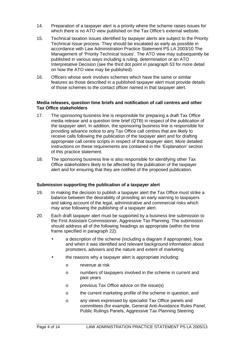- 14. Preparation of a taxpayer alert is a priority where the scheme raises issues for which there is no ATO view published on the Tax Office's external website.
- 15. Technical taxation issues identified by taxpayer alerts are subject to the Priority Technical Issue process. They should be escalated as early as possible in accordance with Law Administration Practice Statement PS LA 2003/10 The Management of 'Priority Technical Issues'. The ATO view may subsequently be published in various ways including a ruling, determination or an ATO Interpretative Decision (see the third dot point in paragraph 53 for more detail on how the ATO view may be published).
- 16. Officers whose work involves schemes which have the same or similar features as those described in a published taxpayer alert must provide details of those schemes to the contact officer named in that taxpayer alert.

#### **Media releases, question time briefs and notification of call centres and other Tax Office stakeholders**

- 17. The sponsoring business line is responsible for preparing a draft Tax Office media release and a question time brief (QTB) in respect of the publication of the taxpayer alert. In addition, the sponsoring business line is responsible for providing advance notice to any Tax Office call centres that are likely to receive calls following the publication of the taxpayer alert and for drafting appropriate call centre scripts in respect of that taxpayer alert. More detailed instructions on these requirements are contained in the 'Explanation' section of this practice statement.
- 18. The sponsoring business line is also responsible for identifying other Tax Office stakeholders likely to be affected by the publication of the taxpayer alert and for ensuring that they are notified of the proposed publication.

#### **Submission supporting the publication of a taxpayer alert**

- 19. In making the decision to publish a taxpayer alert the Tax Office must strike a balance between the desirability of providing an early warning to taxpayers and taking account of the legal, administrative and commercial risks which may arise following the publishing of a taxpayer alert.
- 20. Each draft taxpayer alert must be supported by a business line submission to the First Assistant Commissioner, Aggressive Tax Planning. The submission should address all of the following headings as appropriate (within the time frame specified in paragraph 22):
	- a description of the scheme (including a diagram if appropriate), how and when it was identified and relevant background information about promoters, advisers and the nature and extent of marketing
	- the reasons why a taxpayer alert is appropriate including:
		- o revenue at risk
		- o numbers of taxpayers involved in the scheme in current and past years
		- o previous Tax Office advice on the issue(s)
		- o the current marketing profile of the scheme in question, and
		- o any views expressed by specialist Tax Office panels and committees (for example, General Anti-Avoidance Rules Panel, Public Rulings Panels, Aggressive Tax Planning Steering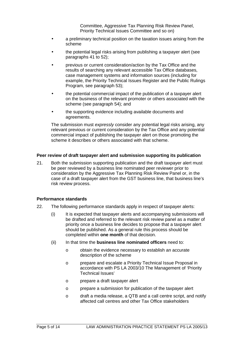Committee, Aggressive Tax Planning Risk Review Panel, Priority Technical Issues Committee and so on)

- a preliminary technical position on the taxation issues arising from the scheme
- the potential legal risks arising from publishing a taxpayer alert (see paragraphs 41 to 52);
- previous or current consideration/action by the Tax Office and the results of searching any relevant accessible Tax Office databases, case management systems and information sources (including for example, the Priority Technical Issues Register and the Public Rulings Program, see paragraph 53);
- the potential commercial impact of the publication of a taxpayer alert on the business of the relevant promoter or others associated with the scheme (see paragraph 54); and
- the supporting evidence including available documents and agreements.

The submission must *expressly* consider any potential legal risks arising, any relevant previous or current consideration by the Tax Office and any potential commercial impact of publishing the taxpayer alert on those promoting the scheme it describes or others associated with that scheme.

#### **Peer review of draft taxpayer alert and submission supporting its publication**

21. Both the submission supporting publication and the draft taxpayer alert must be peer reviewed by a business line nominated peer reviewer prior to consideration by the Aggressive Tax Planning Risk Review Panel or, in the case of a draft taxpayer alert from the GST business line, that business line's risk review process.

#### **Performance standards**

- 22. The following performance standards apply in respect of taxpayer alerts:
	- (i) It is expected that taxpayer alerts and accompanying submissions will be drafted and referred to the relevant risk review panel as a matter of priority once a business line decides to propose that a taxpayer alert should be published. As a general rule this process should be completed within **one month** of that decision.
	- (ii) In that time the **business line nominated officers** need to:
		- o obtain the evidence necessary to establish an accurate description of the scheme
		- o prepare and escalate a Priority Technical Issue Proposal in accordance with PS LA 2003/10 The Management of 'Priority Technical Issues'
		- o prepare a draft taxpayer alert
		- o prepare a submission for publication of the taxpayer alert
		- o draft a media release, a QTB and a call centre script, and notify affected call centres and other Tax Office stakeholders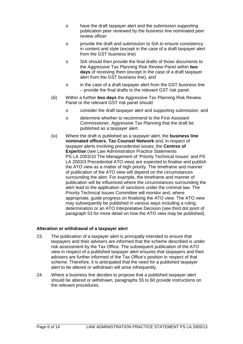- o have the draft taxpayer alert and the submission supporting publication peer reviewed by the business line nominated peer review officer
- o provide the draft and submission to SIA to ensure consistency in content and style (except in the case of a draft taxpayer alert from the GST business line)
- o SIA should then provide the final drafts of those documents to the Aggressive Tax Planning Risk Review Panel within **two days** of receiving them (except in the case of a draft taxpayer alert from the GST business line), and
- o in the case of a draft taxpayer alert from the GST business line – provide the final drafts to the relevant GST risk panel.
- (iii) Within a further **two days** the Aggressive Tax Planning Risk Review Panel or the relevant GST risk panel should:
	- o consider the draft taxpayer alert and supporting submission, and
	- o determine whether to recommend to the First Assistant Commissioner, Aggressive Tax Planning that the draft be published as a taxpayer alert.
- (iv) Where the draft is published as a taxpayer alert, the **business line nominated officers**, **Tax Counsel Network** and, in respect of taxpayer alerts involving precedential issues, the **Centres of Expertise** (see Law Administration Practice Statements PS LA 2003/10 The Management of 'Priority Technical Issues' and PS LA 2003/3 Precedential ATO view) are expected to finalise and publish the ATO view as a matter of high priority. The timeframe and manner of publication of the ATO view will depend on the circumstances surrounding the alert. For example, the timeframe and manner of publication will be influenced where the circumstances surrounding the alert lead to the application of sanctions under the criminal law. The Priority Technical Issues Committee will monitor and, where appropriate, guide progress on finalising the ATO view. The ATO view may subsequently be published in various ways including a ruling, determination or an ATO Interpretative Decision (see third dot point of paragraph 53 for more detail on how the ATO view may be published).

# **Alteration or withdrawal of a taxpayer alert**

- 23. The publication of a taxpayer alert is principally intended to ensure that taxpayers and their advisers are informed that the scheme described is under risk assessment by the Tax Office. The subsequent publication of the ATO view in respect of a published taxpayer alert ensures that taxpayers and their advisers are further informed of the Tax Office's position in respect of that scheme. Therefore, it is anticipated that the need for a published taxpayer alert to be altered or withdrawn will arise infrequently.
- 24. Where a business line decides to propose that a published taxpayer alert should be altered or withdrawn, paragraphs 55 to 60 provide instructions on the relevant procedures.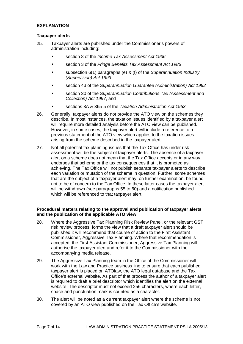#### **EXPLANATION**

#### **Taxpayer alerts**

- 25. Taxpayer alerts are published under the Commissioner's powers of administration including:
	- section 8 of the *Income Tax Assessment Act 1936*
	- section 3 of the Fringe Benefits Tax Assessment Act 1986
	- subsection 6(1) paragraphs (e) & (f) of the Superannuation Industry (Supervision) Act 1993
	- section 43 of the Superannuation Guarantee (Administration) Act 1992
	- section 30 of the Superannuation Contributions Tax (Assessment and Collection) Act 1997, and
	- sections 3A & 365-5 of the Taxation Administration Act 1953.
- 26. Generally, taxpayer alerts do not provide the ATO view on the schemes they describe. In most instances, the taxation issues identified by a taxpayer alert will require more detailed analysis before the ATO view can be published. However, in some cases, the taxpayer alert will include a reference to a previous statement of the ATO view which applies to the taxation issues arising from the scheme described in the taxpayer alert.
- 27. Not all potential tax planning issues that the Tax Office has under risk assessment will be the subject of taxpayer alerts. The absence of a taxpayer alert on a scheme does not mean that the Tax Office accepts or in any way endorses that scheme or the tax consequences that it is promoted as achieving. The Tax Office will not publish separate taxpayer alerts to describe each variation or mutation of the scheme in question. Further, some schemes that are the subject of a taxpayer alert may, on further examination, be found not to be of concern to the Tax Office. In these latter cases the taxpayer alert will be withdrawn (see paragraphs 55 to 60) and a notification published which will be referenced to that taxpayer alert.

#### **Procedural matters relating to the approval and publication of taxpayer alerts and the publication of the applicable ATO view**

- 28. Where the Aggressive Tax Planning Risk Review Panel, or the relevant GST risk review process, forms the view that a draft taxpayer alert should be published it will recommend that course of action to the First Assistant Commissioner, Aggressive Tax Planning. Where that recommendation is accepted, the First Assistant Commissioner, Aggressive Tax Planning will authorise the taxpayer alert and refer it to the Commissioner with the accompanying media release.
- 29. The Aggressive Tax Planning team in the Office of the Commissioner will work with the Law and Practice business line to ensure that each published taxpayer alert is placed on ATOlaw, the ATO legal database and the Tax Office's external website. As part of that process the author of a taxpayer alert is required to draft a brief descriptor which identifies the alert on the external website. The descriptor must not exceed 256 characters, where each letter, space and punctuation mark is counted as a character.
- 30. The alert will be noted as a **current** taxpayer alert where the scheme is not covered by an ATO view published on the Tax Office's website.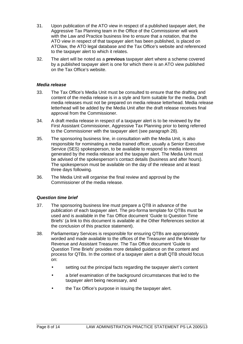- 31. Upon publication of the ATO view in respect of a published taxpayer alert, the Aggressive Tax Planning team in the Office of the Commissioner will work with the Law and Practice business line to ensure that a notation, that the ATO view in respect of that taxpayer alert has been published, is placed on ATOlaw, the ATO legal database and the Tax Office's website and referenced to the taxpayer alert to which it relates.
- 32. The alert will be noted as a **previous** taxpayer alert where a scheme covered by a published taxpayer alert is one for which there is an ATO view published on the Tax Office's website.

#### **Media release**

- 33. The Tax Office's Media Unit must be consulted to ensure that the drafting and content of the media release is in a style and form suitable for the media. Draft media releases must not be prepared on media release letterhead. Media release letterhead will be added by the Media Unit after the draft release receives final approval from the Commissioner.
- 34. A draft media release in respect of a taxpayer alert is to be reviewed by the First Assistant Commissioner, Aggressive Tax Planning prior to being referred to the Commissioner with the taxpayer alert (see paragraph 28).
- 35. The sponsoring business line, in consultation with the Media Unit, is also responsible for nominating a media trained officer, usually a Senior Executive Service (SES) spokesperson, to be available to respond to media interest generated by the media release and the taxpayer alert. The Media Unit must be advised of the spokesperson's contact details (business and after hours). The spokesperson must be available on the day of the release and at least three days following.
- 36. The Media Unit will organise the final review and approval by the Commissioner of the media release.

#### **Question time brief**

- 37. The sponsoring business line must prepare a QTB in advance of the publication of each taxpayer alert. The pro-forma template for QTBs must be used and is available in the Tax Office document 'Guide to Question Time Briefs' (a link to this document is available at the Other References section at the conclusion of this practice statement).
- 38. Parliamentary Services is responsible for ensuring QTBs are appropriately worded and made available to the offices of the Treasurer and the Minister for Revenue and Assistant Treasurer. The Tax Office document 'Guide to Question Time Briefs' provides more detailed guidance on the content and process for QTBs. In the context of a taxpayer alert a draft QTB should focus on:
	- setting out the principal facts regarding the taxpayer alert's content
	- a brief examination of the background circumstances that led to the taxpayer alert being necessary, and
	- the Tax Office's purpose in issuing the taxpayer alert.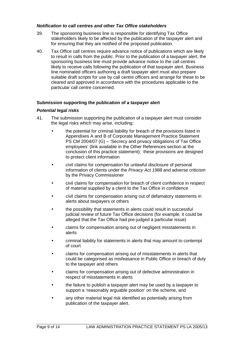#### **Notification to call centres and other Tax Office stakeholders**

- 39. The sponsoring business line is responsible for identifying Tax Office stakeholders likely to be affected by the publication of the taxpayer alert and for ensuring that they are notified of the proposed publication.
- 40. Tax Office call centres require advance notice of publications which are likely to result in calls from the public. Prior to the publication of a taxpayer alert, the sponsoring business line must provide advance notice to the call centres likely to receive calls following the publication of that taxpayer alert. Business line nominated officers authoring a draft taxpayer alert must also prepare suitable draft scripts for use by call centre officers and arrange for these to be cleared and approved in accordance with the procedures applicable to the particular call centre concerned.

#### **Submission supporting the publication of a taxpayer alert**

#### **Potential legal risks**

- 41. The submission supporting the publication of a taxpayer alert must consider the legal risks which may arise, including:
	- the potential for criminal liability for breach of the provisions listed in Appendixes A and B of Corporate Management Practice Statement PS CM 2004/07 (G) – 'Secrecy and privacy obligations of Tax Office employees' (link available in the Other References section at the conclusion of this practice statement); these provisions are designed to protect client information
	- civil claims for compensation for unlawful disclosure of personal information of clients under the Privacy Act 1988 and adverse criticism by the Privacy Commissioner
	- civil claims for compensation for breach of client confidence in respect of material supplied by a client to the Tax Office in confidence
	- civil claims for compensation arising out of defamatory statements in alerts about taxpayers or others
	- the possibility that statements in alerts could result in successful judicial review of future Tax Office decisions (for example, it could be alleged that the Tax Office had pre-judged a particular issue)
	- claims for compensation arising out of negligent misstatements in alerts
	- criminal liability for statements in alerts that may amount to contempt of court
	- claims for compensation arising out of misstatements in alerts that could be categorised as misfeasance in Public Office or breach of duty to the taxpayer and others
	- claims for compensation arising out of defective administration in respect of misstatements in alerts
	- the failure to publish a taxpayer alert may be used by a taxpayer to support a 'reasonably arguable position' on the scheme, and
	- any other material legal risk identified as potentially arising from publication of the taxpayer alert.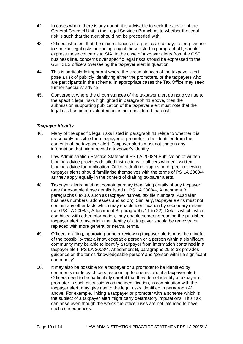- 42. In cases where there is any doubt, it is advisable to seek the advice of the General Counsel Unit in the Legal Services Branch as to whether the legal risk is such that the alert should not be proceeded with.
- 43. Officers who feel that the circumstances of a particular taxpayer alert give rise to specific legal risks, including any of those listed in paragraph 41, should express those concerns to SIA. In the case of taxpayer alerts from the GST business line, concerns over specific legal risks should be expressed to the GST SES officers overseeing the taxpayer alert in question.
- 44. This is particularly important where the circumstances of the taxpayer alert pose a risk of publicly identifying either the promoters, or the taxpayers who are participants in the scheme. In appropriate cases the Tax Office may seek further specialist advice.
- 45. Conversely, where the circumstances of the taxpayer alert do not give rise to the specific legal risks highlighted in paragraph 41 above, then the submission supporting publication of the taxpayer alert must note that the legal risk has been evaluated but is not considered material.

# **Taxpayer identity**

- 46. Many of the specific legal risks listed in paragraph 41 relate to whether it is reasonably possible for a taxpayer or promoter to be identified from the contents of the taxpayer alert. Taxpayer alerts must not contain any information that might reveal a taxpayer's identity.
- 47. Law Administration Practice Statement PS LA 2008/4 Publication of written binding advice provides detailed instructions to officers who edit written binding advice for publication. Officers drafting, approving or peer reviewing taxpayer alerts should familiarise themselves with the terms of PS LA 2008/4 as they apply equally in the context of drafting taxpayer alerts.
- 48. Taxpayer alerts must not contain primary identifying details of any taxpayer (see for example those details listed at PS LA 2008/4, Attachment B, paragraphs 6 to 10, such as taxpayer names, tax file numbers, Australian business numbers, addresses and so on). Similarly, taxpayer alerts must not contain any other facts which may enable identification by secondary means (see PS LA 2008/4, Attachment B, paragraphs 11 to 22). Details which, when combined with other information, may enable someone reading the published taxpayer alert to ascertain the identity of a taxpayer should be removed or replaced with more general or neutral terms.
- 49. Officers drafting, approving or peer reviewing taxpayer alerts must be mindful of the possibility that a knowledgeable person or a person within a significant community may be able to identify a taxpayer from information contained in a taxpayer alert. PS LA 2008/4, Attachment B, paragraphs 25 to 33 provides guidance on the terms 'knowledgeable person' and 'person within a significant community'.
- 50. It may also be possible for a taxpayer or a promoter to be identified by comments made by officers responding to queries about a taxpayer alert. Officers need to be particularly careful that they do not identify a taxpayer or promoter in such discussions as the identification, in combination with the taxpayer alert, may give rise to the legal risks identified in paragraph 41 above. For example, linking a taxpayer or promoter with a scheme which is the subject of a taxpayer alert might carry defamatory imputations. This risk can arise even though the words the officer uses are not intended to have such consequences.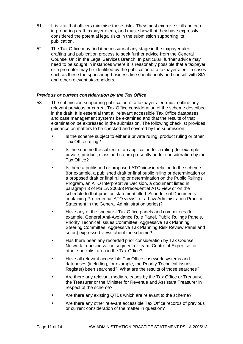- 51. It is vital that officers minimise these risks. They must exercise skill and care in preparing draft taxpayer alerts, and must show that they have expressly considered the potential legal risks in the submission supporting its publication.
- 52. The Tax Office may find it necessary at any stage in the taxpayer alert drafting and publication process to seek further advice from the General Counsel Unit in the Legal Services Branch. In particular, further advice may need to be sought in instances where it is reasonably possible that a taxpayer or a promoter may be identified by the publication of a taxpayer alert. In cases such as these the sponsoring business line should notify and consult with SIA and other relevant stakeholders.

# **Previous or current consideration by the Tax Office**

- 53. The submission supporting publication of a taxpayer alert must outline any relevant previous or current Tax Office consideration of the scheme described in the draft. It is essential that all relevant accessible Tax Office databases and case management systems be examined and that the results of that examination be expressed in the submission. The following checklist provides guidance on matters to be checked and covered by the submission:
	- Is the scheme subject to either a private ruling, product ruling or other Tax Office ruling?
	- Is the scheme the subject of an application for a ruling (for example, private, product, class and so on) presently under consideration by the Tax Office?
	- Is there a published or proposed ATO view in relation to the scheme (for example, a published draft or final public ruling or determination or a proposed draft or final ruling or determination on the Public Rulings Program, an ATO Interpretative Decision, a document listed in paragraph 3 of PS LA 2003/3 Precedential ATO view or on the schedule to that practice statement titled 'Schedule of Documents containing Precedential ATO views', or a Law Administration Practice Statement in the General Administration series)?
	- Have any of the specialist Tax Office panels and committees (for example, General Anti-Avoidance Rule Panel, Public Rulings Panels, Priority Technical Issues Committee, Aggressive Tax Planning Steering Committee, Aggressive Tax Planning Risk Review Panel and so on) expressed views about the scheme?
	- Has there been any recorded prior consideration by Tax Counsel Network, a business line segment or team, Centre of Expertise, or other specialist area in the Tax Office?
	- Have all relevant accessible Tax Office casework systems and databases (including, for example, the Priority Technical Issues Register) been searched? What are the results of those searches?
	- Are there any relevant media releases by the Tax Office or Treasury, the Treasurer or the Minister for Revenue and Assistant Treasurer in respect of the scheme?
	- Are there any existing QTBs which are relevant to the scheme?
	- Are there any other relevant accessible Tax Office records of previous or current consideration of the matter in question?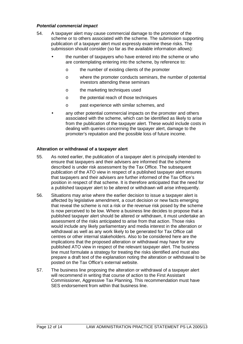#### **Potential commercial impact**

- 54. A taxpayer alert may cause commercial damage to the promoter of the scheme or to others associated with the scheme. The submission supporting publication of a taxpayer alert must expressly examine these risks. The submission should consider (so far as the available information allows):
	- the number of taxpayers who have entered into the scheme or who are contemplating entering into the scheme, by reference to:
		- o the number of existing clients of the promoter
		- o where the promoter conducts seminars, the number of potential investors attending these seminars
		- o the marketing techniques used
		- o the potential reach of those techniques
		- o past experience with similar schemes, and
	- any other potential commercial impacts on the promoter and others associated with the scheme, which can be identified as likely to arise from the publication of the taxpayer alert. These would include costs in dealing with queries concerning the taxpayer alert, damage to the promoter's reputation and the possible loss of future income.

#### **Alteration or withdrawal of a taxpayer alert**

- 55. As noted earlier, the publication of a taxpayer alert is principally intended to ensure that taxpayers and their advisers are informed that the scheme described is under risk assessment by the Tax Office. The subsequent publication of the ATO view in respect of a published taxpayer alert ensures that taxpayers and their advisers are further informed of the Tax Office's position in respect of that scheme. It is therefore anticipated that the need for a published taxpayer alert to be altered or withdrawn will arise infrequently.
- 56. Situations may arise where the earlier decision to issue a taxpayer alert is affected by legislative amendment, a court decision or new facts emerging that reveal the scheme is not a risk or the revenue risk posed by the scheme is now perceived to be low. Where a business line decides to propose that a published taxpayer alert should be altered or withdrawn, it must undertake an assessment of the risks anticipated to arise from that action. Those risks would include any likely parliamentary and media interest in the alteration or withdrawal as well as any work likely to be generated for Tax Office call centres or other internal stakeholders. Also to be considered here are the implications that the proposed alteration or withdrawal may have for any published ATO view in respect of the relevant taxpayer alert. The business line must formulate a strategy for treating the risks identified and must also prepare a draft text of the explanation noting the alteration or withdrawal to be posted on the Tax Office's external website.
- 57. The business line proposing the alteration or withdrawal of a taxpayer alert will recommend in writing that course of action to the First Assistant Commissioner, Aggressive Tax Planning. This recommendation must have SES endorsement from within that business line.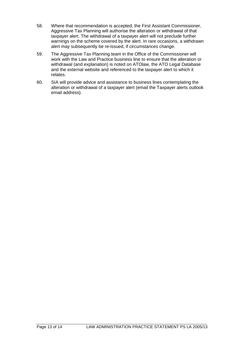- 58. Where that recommendation is accepted, the First Assistant Commissioner, Aggressive Tax Planning will authorise the alteration or withdrawal of that taxpayer alert. The withdrawal of a taxpayer alert will not preclude further warnings on the scheme covered by the alert. In rare occasions, a withdrawn alert may subsequently be re-issued, if circumstances change.
- 59. The Aggressive Tax Planning team in the Office of the Commissioner will work with the Law and Practice business line to ensure that the alteration or withdrawal (and explanation) is noted on ATOlaw, the ATO Legal Database and the external website and referenced to the taxpayer alert to which it relates.
- 60. SIA will provide advice and assistance to business lines contemplating the alteration or withdrawal of a taxpayer alert (email the Taxpayer alerts outlook email address).